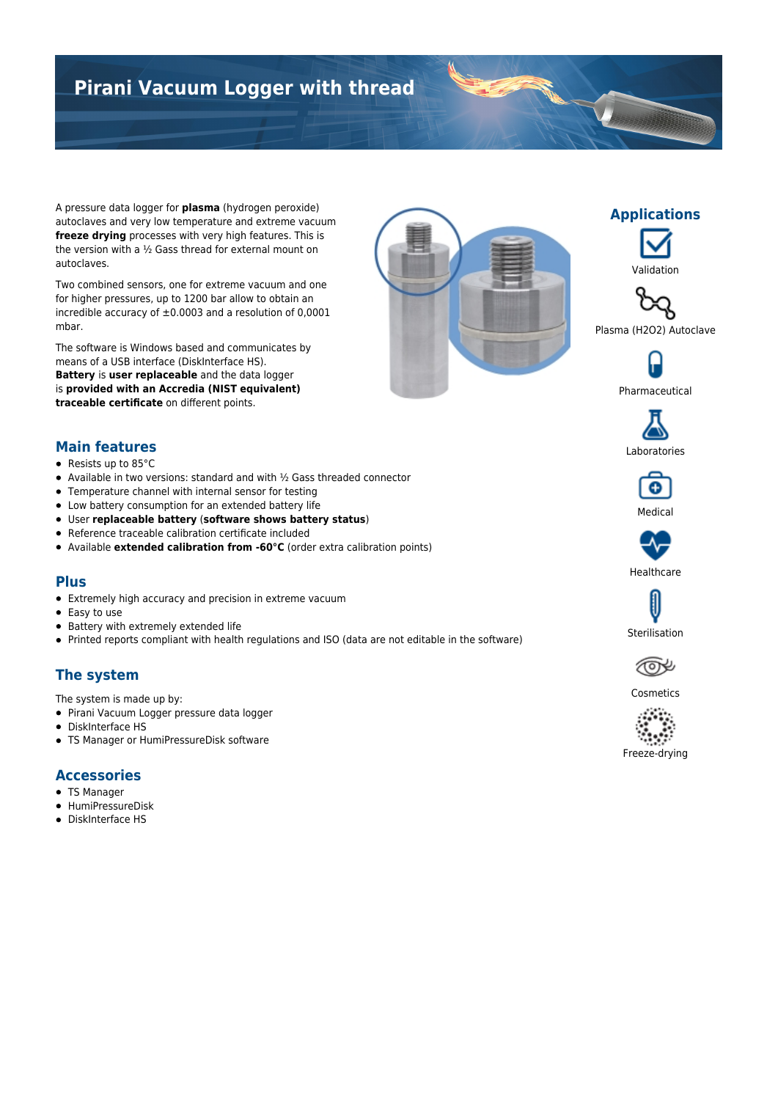# **Pirani Vacuum Logger with thread**

A pressure data logger for **plasma** (hydrogen peroxide) autoclaves and very low temperature and extreme vacuum **freeze drying** processes with very high features. This is the version with a ½ Gass thread for external mount on autoclaves.

Two combined sensors, one for extreme vacuum and one for higher pressures, up to 1200 bar allow to obtain an incredible accuracy of  $\pm 0.0003$  and a resolution of 0,0001 mbar.

The software is Windows based and communicates by means of a USB interface (DiskInterface HS). **Battery** is **user replaceable** and the data logger is **provided with an Accredia (NIST equivalent) traceable certificate** on different points.





**Applications**

T



Pharmaceutical



### **Main features**

- Resists up to 85°C
- Available in two versions: standard and with ½ Gass threaded connector
- Temperature channel with internal sensor for testing
- Low battery consumption for an extended battery life
- User **replaceable battery** (**software shows battery status**)
- Reference traceable calibration certificate included
- Available **extended calibration from -60°C** (order extra calibration points)

#### **Plus**

- Extremely high accuracy and precision in extreme vacuum
- Easy to use
- Battery with extremely extended life
- Printed reports compliant with health regulations and ISO (data are not editable in the software)

## **The system**

The system is made up by:

- Pirani Vacuum Logger pressure data logger
- DiskInterface HS
- TS Manager or HumiPressureDisk software

#### **Accessories**

- TS Manager
- HumiPressureDisk
- DiskInterface HS



Medical

Θ

Sterilisation



Cosmetics



Freeze-drying